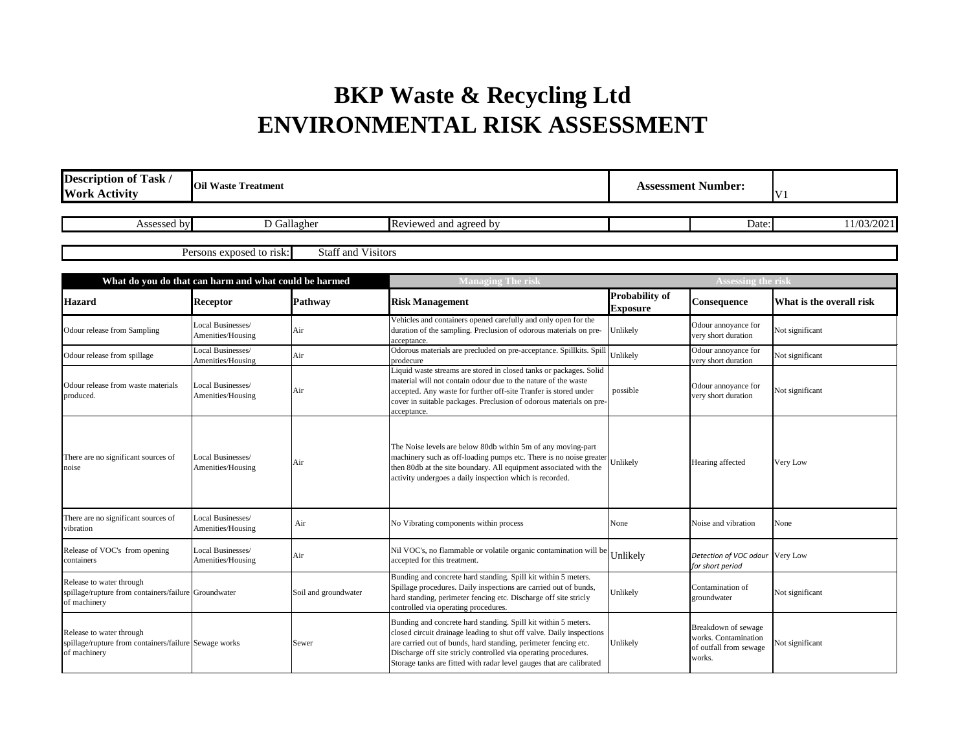## **BKP Waste & Recycling Ltd ENVIRONMENTAL RISK ASSESSMENT**

| <b>Description of Task /</b><br><b>Work Activity</b>                                              | <b>Oil Waste Treatment</b>             |                           | <b>Assessment Number:</b>                                                                                                                                                                                                                                                                                                                            |                                          | V <sub>1</sub>                                                                  |                          |
|---------------------------------------------------------------------------------------------------|----------------------------------------|---------------------------|------------------------------------------------------------------------------------------------------------------------------------------------------------------------------------------------------------------------------------------------------------------------------------------------------------------------------------------------------|------------------------------------------|---------------------------------------------------------------------------------|--------------------------|
| Assessed by                                                                                       |                                        | D Gallagher               | Reviewed and agreed by                                                                                                                                                                                                                                                                                                                               |                                          | Date:                                                                           | 11/03/2021               |
|                                                                                                   | Persons exposed to risk:               | <b>Staff and Visitors</b> |                                                                                                                                                                                                                                                                                                                                                      |                                          |                                                                                 |                          |
| What do you do that can harm and what could be harmed                                             |                                        |                           | <b>Managing The risk</b>                                                                                                                                                                                                                                                                                                                             |                                          | Assessing the risl                                                              |                          |
| <b>Hazard</b>                                                                                     | <b>Receptor</b>                        | Pathway                   | <b>Risk Management</b>                                                                                                                                                                                                                                                                                                                               | <b>Probability of</b><br><b>Exposure</b> | Consequence                                                                     | What is the overall risk |
| Odour release from Sampling                                                                       | Local Businesses/<br>Amenities/Housing | Air                       | Vehicles and containers opened carefully and only open for the<br>duration of the sampling. Preclusion of odorous materials on pre-<br>acceptance.                                                                                                                                                                                                   | Unlikely                                 | Odour annoyance for<br>very short duration                                      | Not significant          |
| Odour release from spillage                                                                       | Local Businesses/<br>Amenities/Housing | Air                       | Odorous materials are precluded on pre-acceptance. Spillkits. Spill<br>prodecure                                                                                                                                                                                                                                                                     | Jnlikely                                 | Odour annoyance for<br>very short duration                                      | Not significant          |
| Odour release from waste materials<br>produced.                                                   | Local Businesses/<br>Amenities/Housing | Air                       | Liquid waste streams are stored in closed tanks or packages. Solid<br>material will not contain odour due to the nature of the waste<br>accepted. Any waste for further off-site Tranfer is stored under<br>cover in suitable packages. Preclusion of odorous materials on pre-<br>acceptance.                                                       | possible                                 | Odour annoyance for<br>very short duration                                      | Not significant          |
| There are no significant sources of<br>noise                                                      | Local Businesses/<br>Amenities/Housing | Air                       | The Noise levels are below 80db within 5m of any moving-part<br>machinery such as off-loading pumps etc. There is no noise greater<br>then 80db at the site boundary. All equipment associated with the<br>activity undergoes a daily inspection which is recorded.                                                                                  | Jnlikely                                 | Hearing affected                                                                | Very Low                 |
| There are no significant sources of<br>vibration                                                  | Local Businesses/<br>Amenities/Housing | Air                       | No Vibrating components within process                                                                                                                                                                                                                                                                                                               | None                                     | Noise and vibration                                                             | None                     |
| Release of VOC's from opening<br>containers                                                       | Local Businesses/<br>Amenities/Housing | Air                       | Nil VOC's, no flammable or volatile organic contamination will be<br>accepted for this treatment.                                                                                                                                                                                                                                                    | Unlikely                                 | Detection of VOC odour Very Low<br>for short period                             |                          |
| Release to water through<br>spillage/rupture from containers/failure Groundwater<br>of machinery  |                                        | Soil and groundwater      | Bunding and concrete hard standing. Spill kit within 5 meters.<br>Spillage procedures. Daily inspections are carried out of bunds,<br>hard standing, perimeter fencing etc. Discharge off site stricly<br>controlled via operating procedures.                                                                                                       | Unlikely                                 | Contamination of<br>groundwater                                                 | Not significant          |
| Release to water through<br>spillage/rupture from containers/failure Sewage works<br>of machinery |                                        | Sewer                     | Bunding and concrete hard standing. Spill kit within 5 meters.<br>closed circuit drainage leading to shut off valve. Daily inspections<br>are carried out of bunds, hard standing, perimeter fencing etc.<br>Discharge off site stricly controlled via operating procedures.<br>Storage tanks are fitted with radar level gauges that are calibrated | Unlikely                                 | Breakdown of sewage<br>works. Contamination<br>of outfall from sewage<br>works. | Not significant          |